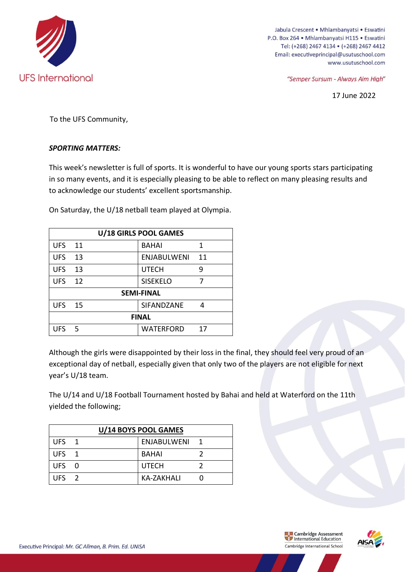

Jabula Crescent • Mhlambanyatsi • Eswatini P.O. Box 264 · Mhlambanyatsi H115 · Eswatini Tel: (+268) 2467 4134 · (+268) 2467 4412 Email: executiveprincipal@usutuschool.com www.usutuschool.com

"Semper Sursum - Always Aim High"

17 June 2022

To the UFS Community,

## *SPORTING MATTERS:*

This week's newsletter is full of sports. It is wonderful to have our young sports stars participating in so many events, and it is especially pleasing to be able to reflect on many pleasing results and to acknowledge our students' excellent sportsmanship.

On Saturday, the U/18 netball team played at Olympia.

| U/18 GIRLS POOL GAMES |                 |  |                    |    |
|-----------------------|-----------------|--|--------------------|----|
| <b>UFS</b>            | 11              |  | <b>BAHAI</b>       | 1  |
| <b>UFS</b>            | 13              |  | <b>ENJABULWENI</b> | 11 |
| <b>UFS</b>            | 13              |  | <b>UTECH</b>       | 9  |
| <b>UFS</b>            | $\overline{12}$ |  | <b>SISEKELO</b>    | 7  |
| <b>SEMI-FINAL</b>     |                 |  |                    |    |
| <b>UFS 15</b>         |                 |  | SIFANDZANE         | 4  |
| <b>FINAL</b>          |                 |  |                    |    |
| UFS <sub>5</sub>      |                 |  | WATERFORD          | 17 |

Although the girls were disappointed by their loss in the final, they should feel very proud of an exceptional day of netball, especially given that only two of the players are not eligible for next year's U/18 team.

The U/14 and U/18 Football Tournament hosted by Bahai and held at Waterford on the 11th yielded the following;

| U/14 BOYS POOL GAMES |  |               |  |  |
|----------------------|--|---------------|--|--|
| UFS <sub>1</sub>     |  | ENJABULWENI 1 |  |  |
| UFS <sub>1</sub>     |  | <b>BAHAI</b>  |  |  |
| UFS 0                |  | <b>UTECH</b>  |  |  |
| UFS $\overline{2}$   |  | KA-ZAKHALI    |  |  |

**Example 2**<br> **Example 2** International Education Cambridge International School